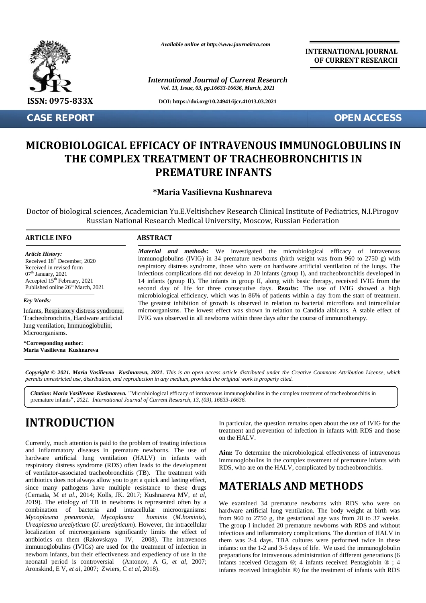

**CASE REPORT OPEN ACCESS**

*Available online at http://www.journalcra.com*

*International Journal of Current Research Vol. 13, Issue, 03, pp.16633-16636, March, 2021*

**DOI: https://doi.org/10.24941/ijcr.41013.03.2021**

**INTERNATIONAL JOURNAL OF CURRENT RESEARCH**

# **MICROBIOLOGICAL EFFICACY OF INTRAVENOUS IMMUNOGLOBULINS IN THE COMPLEX TREATMENT OF TRACHEOBRONCHITIS IN PREMATURE INFANTS**

## **\*Maria Vasilievna Kushnareva Kushnareva**

Doctor of biological sciences, Academician Yu.E.Veltishchev Research Clinical Institute of Pediatrics, N.I.Pirogov al sciences, Academician Yu.E.Veltishchev Research Clinical Institute of Pediatrics, N.I<br>Russian National Research Medical University, Moscow, Russian Federation

### **ARTICLE INFO ABSTRACT ARTICLE ABSTRACT**

*Article History: Article History:* Received  $18<sup>th</sup>$  December, 2020 Received 18 December, 2020<br>Received in revised form  $07<sup>th</sup>$  January, 2021 Accepted  $15<sup>th</sup>$  February, 2021 1 Published online  $26<sup>th</sup>$  March, 2021  $07<sup>th</sup>$  January, 2021 Received in revised form<br>07<sup>th</sup> January, 2021<br>Accepted 15<sup>th</sup> February, 2021

#### *Key Words:*

Infants, Respiratory distress syndrome, 111, 1101 a.,<br>Infants, Respiratory distress syndrome,<br>Tracheobronchitis, Hardware artificial lung ventilation, Immunoglobulin, Microorganisms. Form the March, 2021<br>
In the March, 2021<br>
Jamarch, 2021<br>
Jamarch, 2021<br>
Jamarch, 2021<br>
Jamarch March March<br>
Jandware artificial<br>
Janunoglobulin,<br>
Final March March March<br>
Janunoglobulin,<br>
Janunoglobulin, 2021<br>
Januare Marc

**\*Corresponding author: Maria Vasilievna Kushnareva**

*Material and methods***:** We investigated the microbiological efficacy of intravenous immunoglobulins (IVIG) in 34 premature newborns (birth weight was from 960 to 2750 g) with respiratory distress syndrome, those who were on hardware artificial ventilation of the lungs. The infectious complications did not develop in 20 infants (group I), and tracheobronchitis developed in 14 infants (group II). The infants in group II, along with basic therapy, received IVIG from the second day of life for three consecutive days. *Results***:** The use of IVIG showed a high microbiological efficiency, which was in 86% of patients within a day from the start of treatment. The greatest inhibition of growth is observed in relation to bacterial microflora and intracellular microorganisms. The lowest effect was shown in relation to Candida albicans. A stable effect of IVIG was observed in all newborns within three days after the course of immunotherapy. and methods: We investigated the microbiological efficacy of introllulins (IVIG) in 34 premature newborns (birth weight was from 960 to 2750 distress syndrome, those who were on hardware artificial ventilation of the lure e, 2021<br>
immunogly balm (UNC) in 34 permature newborn (birth weight was from 8 2-4 0 permature and the state of the state<br>
in the constraint of the state of the state of the state of the state of the state of the state of **CASE REPORT**<br> **CORRECTED ACCESS**<br> **CORRECTED ACCESS**<br> **CORPLEX TREATMENT OF TRACHEOBRONCHITIS IN<br>
<b>THE COMPLEX TREATMENT OF TRACHEOBRONCHITIS IN**<br> **PREMATURE INFANTS**<br> **PREMATURE INFANTS**<br> **CORRECTED ACCESS**<br> **CORRECTED A** The properties, Academician Yu.E.Veltishchev Research Clinical Institute of Pediatrics,<br>
Russian National Research Medical University, Moscow, Russian Federation<br>
INFO<br>
1997: Material and methods: We investigated the micr

**Copyright © 2021. Maria Vasilievna Kushnareva, 2021.** This is an open access article distributed under the Creative Commons Attribution License, which<br>permits unrestricted use, distribution, and reproduction in any medium *permits unrestricted use,distribution, and reproduction in any medium, provided the original work is properly cited.*

Citation: Maria Vasilievna Kushnareva. "Microbiological efficacy of intravenous immunoglobulins in the complex treatment of tracheobronchitis in premature infants*", 2021. International Journal of Current Research, 13, (03), 16633-16636.*

# **INTRODUCTION INTRODUCTION**

Currently, much attention is paid to the problem of treating infectious and inflammatory diseases in premature newborns. The use of  $\overline{a}$ hardware artificial lung ventilation  $(HALV)$  in infants with  $\lim_{m}$ respiratory distress syndrome (RDS) often leads to the development of ventilator-associated tracheobronchitis (TB). The treatment with antibiotics does not always allow you to get a quick and lasting effect, since many pathogens have multiple resistance to these drugs (Сernada, M *et al*., 2014; Kolls, JK. 2017; Kushnareva MV, *et al*, 2019). The etiology of TB in newborns is represented often by a combination of bacteria and intracellular microorganisms: *Mycoplasma pneumonia, Mycoplasma hominis* (*M.hominis*), *Mycoplasma pneumonia, Mycoplasma hominis* (*M.hominis*), fiteraplasma urealyticum (*U. urealyticum*). However, the intracellular T localization of microorganisms significantly limits the effect of antibiotics on them (Rakovskaya IV, 2008). The intravenous immunoglobulins (IVIGs) are used for the treatment of infection in newborn infants, but their effectiveness and expediency of use in the neonatal period is controversial (Antonov, A G, *et al*, 2007; Aronskind, E V, *et al*, 2007; Zwiers, C *et al*, 2018). Currently, much attention is paid to the problem of treating infectious<br>and inflammatory diseases in premature newborns. The use of<br>hardware artificial lung ventilation (HALV) in infants with<br>respiratory distress syndrome **INTRODUCTION**<br>
In particular, the question remains open about the use of IVIG for the<br>
currently, much attention is paid to the problem of treating infectious<br>
and inflammatory diseases in premature newborns. The use of<br>

In particular, the question remains open about the use of IVIG for the treatment and prevention of infection in infants with RDS and those on the HALV.

**Aim:** To determine the microbiological effectiveness of intravenous immunoglobulins in the complex treatment of premature infants with RDS, who are on the HALV, complicated by tracheobronchitis.

## **MATERIALS AND METHODS**

We examined 34 premature newborns with RDS who were on hardware artificial lung ventilation. The body weight at birth was from 960 to 2750 g, the gestational age was from 28 to 37 weeks. The group I included 20 premature newborns with RDS and without infectious and inflammatory complications. The duration of HALV in them was 2-4 days. TBA cultures were performed twice in these infants: on the 1-2 and 3-5 days of life. We used the immunoglobulin preparations for intravenous administration of different generations (6 infants received Octagam ®; 4 infants received Pentaglobin ® ; 4 infants received Intraglobin ®) for the treatment of infants with RDS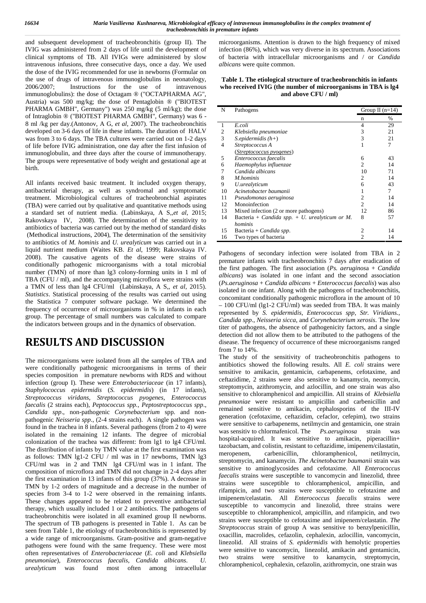and subsequent development of tracheobronchitis (group II). The IVIG was administered from 2 days of life until the development of clinical symptoms of TB. All IVIGs were administered by slow intravenous infusions, three consecutive days, once a day. We used the dose of the IVIG recommended for use in newborns (Formular on the use of drugs of intravenous immunoglobulins in neonatology, 2006/2007; Instructions for the use of intravenous immunoglobulins): the dose of Octagam ® ("OCTAPHARMA AG", Austria) was 500 mg/kg; the dose of Pentaglobin ® ("BIOTEST PHARMA GMBH", Germany") was 250 mg/kg (5 ml/kg); the dose of Intraglobin ® ("BIOTEST PHARMA GMBH", Germany) was 6 - 8 ml /kg per day.(Antonov, A G, *et al*, 2007). The tracheobronchitis developed on 3-6 days of life in these infants. The duration of HALV was from 3 to 6 days. The TBA cultures were carried out on 1-2 days of life before IVIG administration, one day after the first infusion of immunoglobulin, and three days after the course of immunotherapy. The groups were representative of body weight and gestational age at birth.

All infants received basic treatment. It included oxygen therapy, antibacterial therapy, as well as syndromal and symptomatic treatment. Microbiological cultures of tracheobronchial aspirates (TBA) were carried out by qualitative and quantitative methods using a standard set of nutrient media. (Labinskaya, A S,,*et al*, 2015; Rakovskaya IV, 2008). The determination of the sensitivity to antibiotics of bacteria was carried out by the method of standard disks (Methodical instructions, 2004), The determination of the sensitivity to antibiotics of *M. hominis* and *U. urealyticum* was carried out in a liquid nutrient medium (Waites KB. *Et al*, 1999; Rakovskaya IV. 2008). The causative agents of the disease were strains of conditionally pathogenic microorganisms with a total microbial number (TMN) of more than lg3 colony-forming units in 1 ml of TBA (CFU / ml), and the accompanying microflora were strains with a TMN of less than lg4 CFU/ml (Labinskaya, A S,, *et al*, 2015). *Statistics*. Statistical processing of the results was carried out using the Statistica 7 computer software package. We determined the frequency of occurrence of microorganisms in % in infants in each group. The percentage of small numbers was calculated to compare the indicators between groups and in the dynamics of observation.

# **RESULTS AND DISCUSSION**

The microorganisms were isolated from all the samples of TBA and were conditionally pathogenic microorganisms in terms of their species composition in premature newborns with RDS and without infection (group I). These were *Enterobacteriaceae* (in 17 infants), *Staphylococcus epidermidis* (*S. epidermidis*) (in 17 infants), *Streptococcus viridans*, *Streptococcus pyogenes*, *Enterococcus faecalis* (2 strains each), *Peptococcus spp.*, *Peptostreptococcus spp*., *Candida spp*., non-pathogenic *Corynebacterium* spp. and non pathogenic *Neisseria spp*., (2-4 strains each). A single pathogen was found in the trachea in 8 infants. Several pathogens (from 2 to 4) were isolated in the remaining 12 infants. The degree of microbial colonization of the trachea was different: from lg1 to lg4 CFU/ml. The distribution of infants by TMN value at the first examination was  $\frac{12200 \text{ actual}}{2 \text{ seconds}}$ as follows: TMN lg1-2 CFU / ml was in 17 newborns, TMN lg3 CFU/ml was in 2 and TMN lg4 CFU/ml was in 1 infant. The composition of microflora and TMN did not change in 2-4 days after the first examination in 13 infants of this group (37%). A decrease in TMN by 1-2 orders of magnitude and a decrease in the number of species from 3-4 to 1-2 were observed in the remaining infants. These changes appeared to be related to preventive antibacterial therapy, which usually included 1 or 2 antibiotics. The pathogens of tracheobronchitis were isolated in all examined group II newborns. The spectrum of TB pathogens is presented in Table 1. As can be seen from Table 1, the etiology of tracheobronchitis is represented by a wide range of microorganisms. Gram-positive and gram-negative pathogens were found with the same frequency. These were most often representatives of *Enterobacteriaceae* (*E. coli* and *Klebsiella pneumoniae*), *Enterococcus faecalis*, *Candida albicans*. *U. urealyticum* was found most often among intracellular

microorganisms. Attention is drawn to the high frequency of mixed infection (86%), which was very diverse in its spectrum. Associations of bacteria with intracellular microorganisms and / or *Candida albicans* were quite common.

**Table 1. The etiological structure of tracheobronchitis in infants who received IVIG (the number of microorganisms in TBA is lg4 and above CFU / ml)**

| N  | Group II $(n=14)$<br>Pathogens                    |                |      |
|----|---------------------------------------------------|----------------|------|
|    |                                                   | n              | $\%$ |
| 1  | E.coli                                            | 4              | 29   |
| 2  | Klebsiella pneumoniae                             | 3              | 21   |
| 3  | $S.\nepidermidis (h+)$                            | 3              | 21   |
| 4  | Streptococcus A                                   |                | 7    |
|    | (Streptococcus pyogenes)                          |                |      |
| 5  | Enterococcus faecalis                             | 6              | 43   |
| 6  | Haemophylus influenzae                            | 2              | 14   |
|    | Candida albicans                                  | 10             | 71   |
| 8  | M.hominis                                         | 2              | 14   |
| 9  | U.urealyticum                                     | 6              | 43   |
| 10 | Acinetobacter baumanii                            |                | 7    |
| 11 | Pseudomonas aeruginosa                            | 2              | 14   |
| 12 | Monoinfection                                     | $\mathfrak{D}$ | 14   |
| 13 | Mixed infection (2 or more pathogens)             | 12             | 86   |
| 14 | Bacteria + Candida spp. $+ U$ . urealyticum or M. | 8              | 57   |
|    | hominis                                           |                |      |
| 15 | Bacteria + Candida spp.                           | 2              | 14   |
| 16 | Two types of bacteria                             | 2              | 14   |

Pathogens of secondary infection were isolated from TBA in 2 premature infants with tracheobronchitis 7 days after eradication of the first pathogen. The first association (*Ps. aeruginos*a + *Candida albicans*) was isolated in one infant and the second association (*Ps.aeruginosa* + *Candida albicans* + *Enterococcus faecalis*) was also isolated in one infant. Along with the pathogens of tracheobronchitis, concomitant conditionally pathogenic microflora in the amount of 10 – 100 CFU/ml (lg1-2 CFU/ml) was seeded from TBA. It was mainly represented by *S. epidermidis*, *Enterococcus spp*, *Str. Viridians.*, *Candida spp*., *Neisseria sicca*, and *Corynebacterium xerosis*. The low titer of pathogens, the absence of pathogenicity factors, and a single detection did not allow them to be attributed to the pathogens of the disease. The frequency of occurrence of these microorganisms ranged from 7 to 14%.

The study of the sensitivity of tracheobronchitis pathogens to antibiotics showed the following results. All *E. coli* strains were sensitive to amikacin, gentamicin, carbapenems, cefotaxime, and ceftazidime, 2 strains were also sensitive to kanamycin, neomycin, streptomycin, azithromycin, and azlocillin, and one strain was also sensitive to chloramphenicol and ampicillin. All strains of *Klebsiella pneumoniae* were resistant to ampicillin and carbenicillin and remained sensitive to amikacin, cephalosporins of the III-IV generation (cefotaxime, ceftazidim, cefaclor, cefepim), two strains were sensitive to carbapenems, netilmycin and gentamicin, one strain was sensitiv to chlormafenicol. The *Ps.aeruginosa* strain was hospital-acquired. It was sensitive to amikacin, piperacillin+ tazobactam, and colistin, resistant to ceftazidime, imipenem/cilastatin, carbenicillin, chloramphenicol, netilmycin, streptomycin, and kanamycin. *The Acinetobacter baumanii* strain was sensitive to aminoglycosides and cefotaxime. All *Enterococcus faecalis* strains were susceptible to vancomycin and linezolid, three strains were susceptible to chloramphenicol, ampicillin, and rifampicin, and two strains were susceptible to cefotaxime and imipenem/celastatin. All *Enterococcus faecalis* strains were susceptible to vancomycin and linezolid, three strains were susceptible to chloramphenicol, ampicillin, and rifampicin, and two strains were susceptible to cefotaxime and imipenem/celastatin. *The Streptococcus* strain of group A was sensitive to benzylpenicillin, oxacillin, macrolides, cefazolin, cephalexin, azlocillin, vancomycin, linezolid. All strains of *S. epidermidis* with hemolytic properties were sensitive to vancomycin, linezolid, amikacin and gentamicin, two strains were sensitive to kanamycin, streptomycin, chloramphenicol, cephalexin, cefazolin, azithromycin, one strain was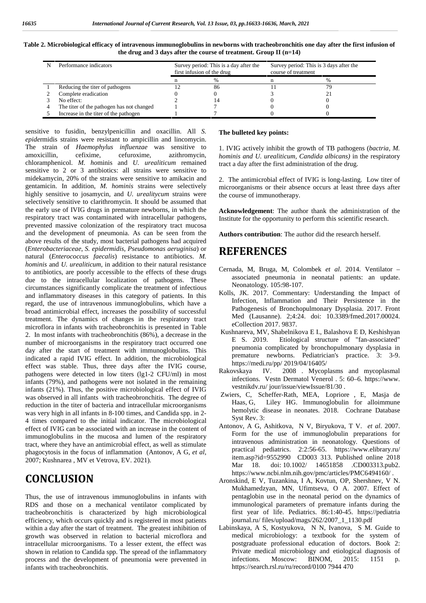| ×<br>×<br>×<br>٧<br>٧ |  |
|-----------------------|--|
|-----------------------|--|

| Table 2. Microbiological efficacy of intravenous immunoglobulins in newborns with tracheobronchitis one day after the first infusion of |  |
|-----------------------------------------------------------------------------------------------------------------------------------------|--|
| the drug and 3 days after the course of treatment. Group II $(n=14)$                                                                    |  |

| Performance indicators                    | Survey period: This is a day after the<br>first infusion of the drug |    | Survey period: This is 3 days after the<br>course of treatment |   |  |
|-------------------------------------------|----------------------------------------------------------------------|----|----------------------------------------------------------------|---|--|
|                                           |                                                                      |    |                                                                | % |  |
| Reducing the titer of pathogens           |                                                                      | 86 |                                                                |   |  |
| Complete eradication                      |                                                                      |    |                                                                |   |  |
| No effect:                                |                                                                      |    |                                                                |   |  |
| The titer of the pathogen has not changed |                                                                      |    |                                                                |   |  |
| Increase in the titer of the pathogen     |                                                                      |    |                                                                |   |  |

sensitive to fusidin, benzylpenicillin and oxacillin. All *S. epide*rmidis strains were resistant to ampicillin and lincomycin. The strain of *Haemophylus influenzae* was sensitive to amoxicillin, cefixime, cefuroxime, azithromycin, chloramphenicol. *M. ho*minis and *U. urealiticum* remained sensitive to 2 or 3 antibiotics: all strains were sensitive to midekamycin, 20% of the strains were sensitive to amikacin and gentamicin. In addition, *M. hominis* strains were selectively highly sensitive to josamycin, and *U. urealitycum* strains were selectively sensitive to clarithromycin. It should be assumed that the early use of IVIG drugs in premature newborns, in which the respiratory tract was contaminated with intracellular pathogens, prevented massive colonization of the respiratory tract mucosa and the development of pneumonia. As can be seen from the above results of the study, most bacterial pathogens had acquired (*Enterobacteriaceae*, *S. epidermidis*, *Pseudomonas aeruginisa*) or natural (*Enterococcus faecalis*) resistance to antibiotics. *M. hominis* and *U. urealiticum*, in addition to their natural resistance to antibiotics, are poorly accessible to the effects of these drugs due to the intracellular localization of pathogens. These circumstances significantly complicate the treatment of infectious and inflammatory diseases in this category of patients. In this regard, the use of intravenous immunoglobulins, which have a broad antimicrobial effect, increases the possibility of successful treatment. The dynamics of changes in the respiratory tract microflora in infants with tracheobronchitis is presented in Table 2. In most infants with tracheobronchitis (86%), a decrease in the number of microorganisms in the respiratory tract occurred one day after the start of treatment with immunoglobulins. This indicated a rapid IVIG effect. In addition, the microbiological effect was stable. Thus, three days after the IVIG course,  $\frac{\text{https://m:100183333333333}}{\text{Methodsavg}}$ pathogens were detected in low titers (lg1-2 CFU/ml) in most infants (79%), and pathogens were not isolated in the remaining infants (21%). Thus, the positive microbiological effect of IVIG was observed in all infants with tracheobronchitis. The degree of reduction in the titer of bacteria and intracellular microorganisms was very high in all infants in 8-100 times, and Candida spp. in 2- 4 times compared to the initial indicator. The microbiological effect of IVIG can be associated with an increase in the content of immunoglobulins in the mucosa and lumen of the respiratory tract, where they have an antimicrobial effect, as well as stimulate phagocytosis in the focus of inflammation (Antonov, A G, *et al*, 2007; Kushnarea , MV et Vetrova, EV. 2021).

## **CONCLUSION**

Thus, the use of intravenous immunoglobulins in infants with RDS and those on a mechanical ventilator complicated by tracheobronchitis is characterized by high microbiological efficiency, which occurs quickly and is registered in most patients within a day after the start of treatment. The greatest inhibition of growth was observed in relation to bacterial microflora and intracellular microorganisms. To a lesser extent, the effect was shown in relation to Candida spp. The spread of the inflammatory process and the development of pneumonia were prevented in infants with tracheobronchitis.

#### **The bulleted key points:**

1. IVIG actively inhibit the growth of TB pathogens (*bactria, M. hominis and U. urealiticum, Candida albicans)* in the respiratory tract a day after the first administration of the drug.

2. The antimicrobial effect of IVIG is long-lasting. Low titer of microorganisms or their absence occurs at least three days after the course of immunotherapy.

**Acknowledgement**: The author thank the administration of the Institute for the opportunity to perform this scientific research.

**Authors contribution**: The author did the research herself.

## **REFERENCES**

- ernada, M, Bruga, M, Colombek et al. 2014. Ventilator associated pneumonia in neonatal patients: an update. Neonatology. 105:98-107.
- Kolls, JK. 2017. Commentary: Understanding the Impact of Infection, Inflammation and Their Persistence in the Pathogenesis of Bronchopulmonary Dysplasia. 2017. Front Med (Lausanne). 2;4:24. doi: 10.3389/fmed.2017.00024. eCollection 2017. 9837.
- Kushnareva, MV, Shabelnikova E I., Balashova E D, Keshishyan E S. 2019. Etiological structure of "fan-associated" pneumonia complicated by bronchopulmonary dysplasia in premature newborns. Pediatrician's practice. 3: 3-9. https://medi.ru/pp/ 2019/04/16405/
- IV. 2008 . Mycoplasms and mycoplasmal infections. Vestn Dermatol Venerol . 5: 60–6. https://www. vestnikdv.ru/ jour/issue/viewIssue/81/30 .
- Zwiers, C, Scheffer-Rath, MEA, Lopriore , E, Masja de Haas. G, Liley HG. Immunoglobulin for alloimmune Liley HG. Immunoglobulin for alloimmune hemolytic disease in neonates. 2018. Cochrane Database Syst Rev. 3:
- Antonov, A G, Ashitkova, N V, Biryukova, T V. *et al*. 2007. Form for the use of immunoglobulin preparations for intravenous administration in neonatology. Questions of practical pediatrics. 2:2:56-65. https://www.elibrary.ru/ item.asp?id=9552990 CD003 313. Published online 2018 Mar 18. doi: 10.1002/ 14651858 .CD003313.pub2. https://www.ncbi.nlm.nih.gov/pmc/articles/PMC6494160/ .
- Aronskind, E V, Tuzankina, I A, Kovtun, OP, Shershnev, V N. Mukhamedzyan, MN, Ufimtseva, O A. 2007. Effect of pentaglobin use in the neonatal period on the dynamics of immunological parameters of premature infants during the first year of life. Pediatrics. 86:1:40-45. https://pediatria journal.ru/ files/upload/mags/262/2007\_1\_1130.pdf
- Labinskaya, A S, Kostyukova, N N, Ivanova, S M. Guide to medical microbiology: a textbook for the system of postgraduate professional education of doctors. Book 2: Private medical microbiology and etiological diagnosis of infections. Moscow: BINOM, 2015: 1151 p. https://search.rsl.ru/ru/record/0100 7944 470